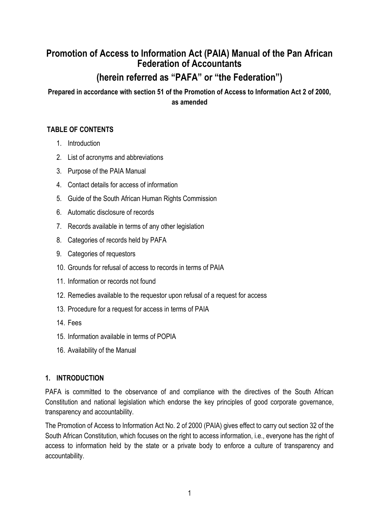# **Promotion of Access to Information Act (PAIA) Manual of the Pan African Federation of Accountants**

# **(herein referred as "PAFA" or "the Federation")**

**Prepared in accordance with section 51 of the Promotion of Access to Information Act 2 of 2000, as amended**

# **TABLE OF CONTENTS**

- 1. Introduction
- 2. List of acronyms and abbreviations
- 3. Purpose of the PAIA Manual
- 4. Contact details for access of information
- 5. Guide of the South African Human Rights Commission
- 6. Automatic disclosure of records
- 7. Records available in terms of any other legislation
- 8. Categories of records held by PAFA
- 9. Categories of requestors
- 10. Grounds for refusal of access to records in terms of PAIA
- 11. Information or records not found
- 12. Remedies available to the requestor upon refusal of a request for access
- 13. Procedure for a request for access in terms of PAIA
- 14. Fees
- 15. Information available in terms of POPIA
- 16. Availability of the Manual

# **1. INTRODUCTION**

PAFA is committed to the observance of and compliance with the directives of the South African Constitution and national legislation which endorse the key principles of good corporate governance, transparency and accountability.

The Promotion of Access to Information Act No. 2 of 2000 (PAIA) gives effect to carry out section 32 of the South African Constitution, which focuses on the right to access information, i.e., everyone has the right of access to information held by the state or a private body to enforce a culture of transparency and accountability.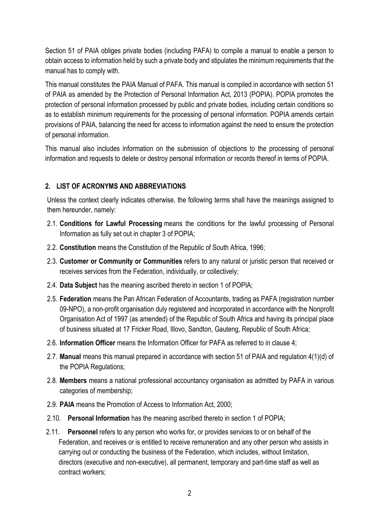Section 51 of PAIA obliges private bodies (including PAFA) to compile a manual to enable a person to obtain access to information held by such a private body and stipulates the minimum requirements that the manual has to comply with.

This manual constitutes the PAIA Manual of PAFA. This manual is compiled in accordance with section 51 of PAIA as amended by the Protection of Personal Information Act, 2013 (POPIA). POPIA promotes the protection of personal information processed by public and private bodies, including certain conditions so as to establish minimum requirements for the processing of personal information. POPIA amends certain provisions of PAIA, balancing the need for access to information against the need to ensure the protection of personal information.

This manual also includes information on the submission of objections to the processing of personal information and requests to delete or destroy personal information or records thereof in terms of POPIA.

# **2. LIST OF ACRONYMS AND ABBREVIATIONS**

Unless the context clearly indicates otherwise, the following terms shall have the meanings assigned to them hereunder, namely:

- 2.1. **Conditions for Lawful Processing** means the conditions for the lawful processing of Personal Information as fully set out in chapter 3 of POPIA;
- 2.2. **Constitution** means the Constitution of the Republic of South Africa, 1996;
- 2.3. **Customer or Community or Communities** refers to any natural or juristic person that received or receives services from the Federation, individually, or collectively;
- 2.4. **Data Subject** has the meaning ascribed thereto in section 1 of POPIA;
- 2.5. **Federation** means the Pan African Federation of Accountants, trading as PAFA (registration number 09-NPO), a non-profit organisation duly registered and incorporated in accordance with the Nonprofit Organisation Act of 1997 (as amended) of the Republic of South Africa and having its principal place of business situated at 17 Fricker Road, Illovo, Sandton, Gauteng, Republic of South Africa;
- 2.6. **Information Officer** means the Information Officer for PAFA as referred to in clause 4;
- 2.7. **Manual** means this manual prepared in accordance with section 51 of PAIA and regulation 4(1)(d) of the POPIA Regulations;
- 2.8. **Members** means a national professional accountancy organisation as admitted by PAFA in various categories of membership;
- 2.9. **PAIA** means the Promotion of Access to Information Act, 2000;
- 2.10. **Personal Information** has the meaning ascribed thereto in section 1 of POPIA;
- 2.11. **Personnel** refers to any person who works for, or provides services to or on behalf of the Federation, and receives or is entitled to receive remuneration and any other person who assists in carrying out or conducting the business of the Federation, which includes, without limitation, directors (executive and non-executive), all permanent, temporary and part-time staff as well as contract workers;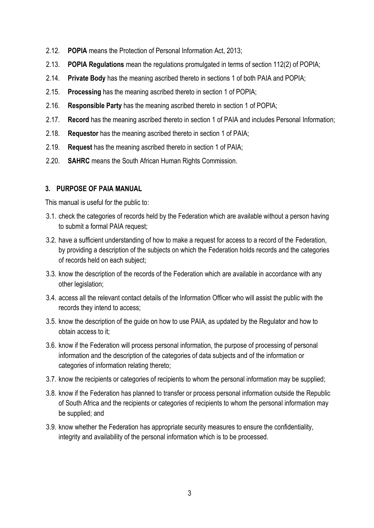- 2.12. **POPIA** means the Protection of Personal Information Act, 2013;
- 2.13. **POPIA Regulations** mean the regulations promulgated in terms of section 112(2) of POPIA;
- 2.14. **Private Body** has the meaning ascribed thereto in sections 1 of both PAIA and POPIA;
- 2.15. **Processing** has the meaning ascribed thereto in section 1 of POPIA;
- 2.16. **Responsible Party** has the meaning ascribed thereto in section 1 of POPIA;
- 2.17. **Record** has the meaning ascribed thereto in section 1 of PAIA and includes Personal Information;
- 2.18. **Requestor** has the meaning ascribed thereto in section 1 of PAIA;
- 2.19. **Request** has the meaning ascribed thereto in section 1 of PAIA;
- 2.20. **SAHRC** means the South African Human Rights Commission.

# **3. PURPOSE OF PAIA MANUAL**

This manual is useful for the public to:

- 3.1. check the categories of records held by the Federation which are available without a person having to submit a formal PAIA request;
- 3.2. have a sufficient understanding of how to make a request for access to a record of the Federation, by providing a description of the subjects on which the Federation holds records and the categories of records held on each subject;
- 3.3. know the description of the records of the Federation which are available in accordance with any other legislation;
- 3.4. access all the relevant contact details of the Information Officer who will assist the public with the records they intend to access;
- 3.5. know the description of the guide on how to use PAIA, as updated by the Regulator and how to obtain access to it;
- 3.6. know if the Federation will process personal information, the purpose of processing of personal information and the description of the categories of data subjects and of the information or categories of information relating thereto;
- 3.7. know the recipients or categories of recipients to whom the personal information may be supplied;
- 3.8. know if the Federation has planned to transfer or process personal information outside the Republic of South Africa and the recipients or categories of recipients to whom the personal information may be supplied; and
- 3.9. know whether the Federation has appropriate security measures to ensure the confidentiality, integrity and availability of the personal information which is to be processed.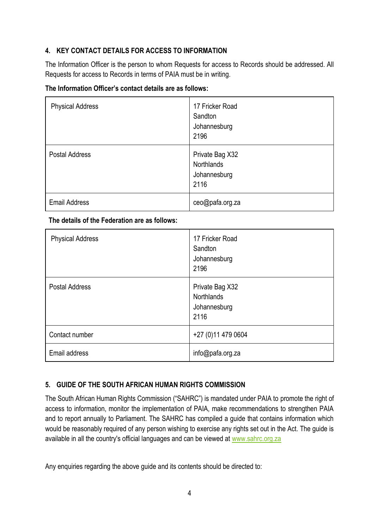# **4. KEY CONTACT DETAILS FOR ACCESS TO INFORMATION**

The Information Officer is the person to whom Requests for access to Records should be addressed. All Requests for access to Records in terms of PAIA must be in writing.

### **The Information Officer's contact details are as follows:**

| <b>Physical Address</b> | 17 Fricker Road<br>Sandton<br>Johannesburg<br>2196    |
|-------------------------|-------------------------------------------------------|
| <b>Postal Address</b>   | Private Bag X32<br>Northlands<br>Johannesburg<br>2116 |
| <b>Email Address</b>    | ceo@pafa.org.za                                       |

### **The details of the Federation are as follows:**

| <b>Physical Address</b> | 17 Fricker Road<br>Sandton<br>Johannesburg<br>2196           |
|-------------------------|--------------------------------------------------------------|
| <b>Postal Address</b>   | Private Bag X32<br><b>Northlands</b><br>Johannesburg<br>2116 |
| Contact number          | +27 (0) 11 479 0604                                          |
| Email address           | info@pafa.org.za                                             |

# **5. GUIDE OF THE SOUTH AFRICAN HUMAN RIGHTS COMMISSION**

The South African Human Rights Commission ("SAHRC") is mandated under PAIA to promote the right of access to information, monitor the implementation of PAIA, make recommendations to strengthen PAIA and to report annually to Parliament. The SAHRC has compiled a guide that contains information which would be reasonably required of any person wishing to exercise any rights set out in the Act. The guide is available in all the country's official languages and can be viewed at [www.sahrc.org.za](http://www.sahrc.org.za/)

Any enquiries regarding the above guide and its contents should be directed to: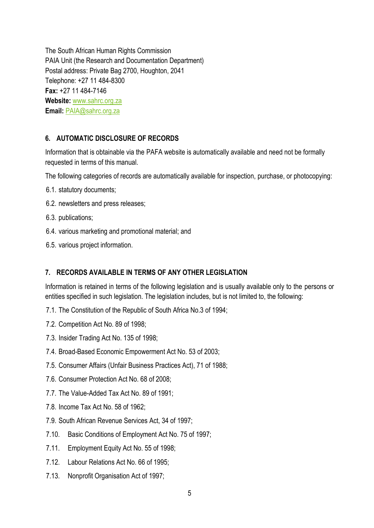The South African Human Rights Commission PAIA Unit (the Research and Documentation Department) Postal address: Private Bag 2700, Houghton, 2041 Telephone: +27 11 484-8300 **Fax:** +27 11 484-7146 **Website:** [www.sahrc.org.za](http://www.sahrc.org.za/) **Email:** [PAIA@sahrc.org.za](mailto:PAIA@sahrc.org.za)

# **6. AUTOMATIC DISCLOSURE OF RECORDS**

Information that is obtainable via the PAFA website is automatically available and need not be formally requested in terms of this manual.

The following categories of records are automatically available for inspection, purchase, or photocopying:

- 6.1. statutory documents;
- 6.2. newsletters and press releases;
- 6.3. publications;
- 6.4. various marketing and promotional material; and
- 6.5. various project information.

# **7. RECORDS AVAILABLE IN TERMS OF ANY OTHER LEGISLATION**

Information is retained in terms of the following legislation and is usually available only to the persons or entities specified in such legislation. The legislation includes, but is not limited to, the following:

- 7.1. The Constitution of the Republic of South Africa No.3 of 1994;
- 7.2. Competition Act No. 89 of 1998;
- 7.3. Insider Trading Act No. 135 of 1998;
- 7.4. Broad-Based Economic Empowerment Act No. 53 of 2003;
- 7.5. Consumer Affairs (Unfair Business Practices Act), 71 of 1988;
- 7.6. Consumer Protection Act No. 68 of 2008;
- 7.7. The Value-Added Tax Act No. 89 of 1991;
- 7.8. Income Tax Act No. 58 of 1962;
- 7.9. South African Revenue Services Act, 34 of 1997;
- 7.10. Basic Conditions of Employment Act No. 75 of 1997;
- 7.11. Employment Equity Act No. 55 of 1998;
- 7.12. Labour Relations Act No. 66 of 1995;
- 7.13. Nonprofit Organisation Act of 1997;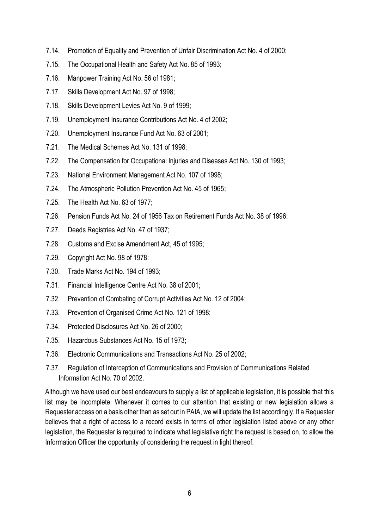- 7.14. Promotion of Equality and Prevention of Unfair Discrimination Act No. 4 of 2000;
- 7.15. The Occupational Health and Safety Act No. 85 of 1993;
- 7.16. Manpower Training Act No. 56 of 1981;
- 7.17. Skills Development Act No. 97 of 1998;
- 7.18. Skills Development Levies Act No. 9 of 1999;
- 7.19. Unemployment Insurance Contributions Act No. 4 of 2002;
- 7.20. Unemployment Insurance Fund Act No. 63 of 2001;
- 7.21. The Medical Schemes Act No. 131 of 1998;
- 7.22. The Compensation for Occupational Injuries and Diseases Act No. 130 of 1993;
- 7.23. National Environment Management Act No. 107 of 1998;
- 7.24. The Atmospheric Pollution Prevention Act No. 45 of 1965;
- 7.25. The Health Act No. 63 of 1977;
- 7.26. Pension Funds Act No. 24 of 1956 Tax on Retirement Funds Act No. 38 of 1996:
- 7.27. Deeds Registries Act No. 47 of 1937;
- 7.28. Customs and Excise Amendment Act, 45 of 1995;
- 7.29. Copyright Act No. 98 of 1978:
- 7.30. Trade Marks Act No. 194 of 1993;
- 7.31. Financial Intelligence Centre Act No. 38 of 2001;
- 7.32. Prevention of Combating of Corrupt Activities Act No. 12 of 2004;
- 7.33. Prevention of Organised Crime Act No. 121 of 1998;
- 7.34. Protected Disclosures Act No. 26 of 2000;
- 7.35. Hazardous Substances Act No. 15 of 1973;
- 7.36. Electronic Communications and Transactions Act No. 25 of 2002;
- 7.37. Regulation of Interception of Communications and Provision of Communications Related Information Act No. 70 of 2002.

Although we have used our best endeavours to supply a list of applicable legislation, it is possible that this list may be incomplete. Whenever it comes to our attention that existing or new legislation allows a Requester access on a basis other than as set out in PAIA, we will update the list accordingly. If a Requester believes that a right of access to a record exists in terms of other legislation listed above or any other legislation, the Requester is required to indicate what legislative right the request is based on, to allow the Information Officer the opportunity of considering the request in light thereof.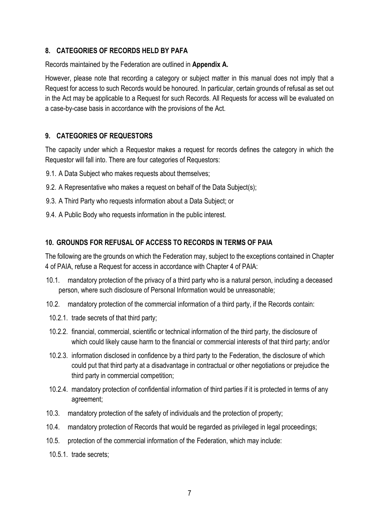### **8. CATEGORIES OF RECORDS HELD BY PAFA**

Records maintained by the Federation are outlined in **Appendix A.**

However, please note that recording a category or subject matter in this manual does not imply that a Request for access to such Records would be honoured. In particular, certain grounds of refusal as set out in the Act may be applicable to a Request for such Records. All Requests for access will be evaluated on a case-by-case basis in accordance with the provisions of the Act.

# **9. CATEGORIES OF REQUESTORS**

The capacity under which a Requestor makes a request for records defines the category in which the Requestor will fall into. There are four categories of Requestors:

- 9.1. A Data Subject who makes requests about themselves;
- 9.2. A Representative who makes a request on behalf of the Data Subject(s);
- 9.3. A Third Party who requests information about a Data Subject; or
- 9.4. A Public Body who requests information in the public interest.

### **10. GROUNDS FOR REFUSAL OF ACCESS TO RECORDS IN TERMS OF PAIA**

The following are the grounds on which the Federation may, subject to the exceptions contained in Chapter 4 of PAIA, refuse a Request for access in accordance with Chapter 4 of PAIA:

- 10.1. mandatory protection of the privacy of a third party who is a natural person, including a deceased person, where such disclosure of Personal Information would be unreasonable;
- 10.2. mandatory protection of the commercial information of a third party, if the Records contain:
- 10.2.1. trade secrets of that third party;
- 10.2.2. financial, commercial, scientific or technical information of the third party, the disclosure of which could likely cause harm to the financial or commercial interests of that third party; and/or
- 10.2.3. information disclosed in confidence by a third party to the Federation, the disclosure of which could put that third party at a disadvantage in contractual or other negotiations or prejudice the third party in commercial competition;
- 10.2.4. mandatory protection of confidential information of third parties if it is protected in terms of any agreement;
- 10.3. mandatory protection of the safety of individuals and the protection of property;
- 10.4. mandatory protection of Records that would be regarded as privileged in legal proceedings;
- 10.5. protection of the commercial information of the Federation, which may include:
- 10.5.1. trade secrets;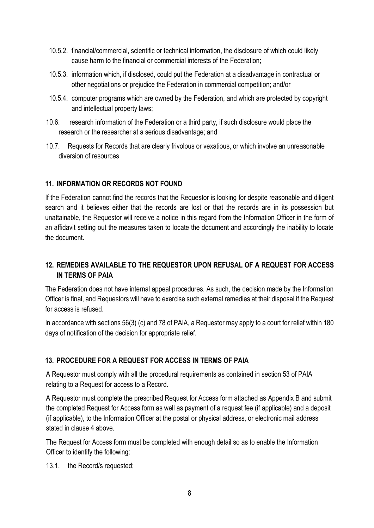- 10.5.2. financial/commercial, scientific or technical information, the disclosure of which could likely cause harm to the financial or commercial interests of the Federation;
- 10.5.3. information which, if disclosed, could put the Federation at a disadvantage in contractual or other negotiations or prejudice the Federation in commercial competition; and/or
- 10.5.4. computer programs which are owned by the Federation, and which are protected by copyright and intellectual property laws;
- 10.6. research information of the Federation or a third party, if such disclosure would place the research or the researcher at a serious disadvantage; and
- 10.7. Requests for Records that are clearly frivolous or vexatious, or which involve an unreasonable diversion of resources

# **11. INFORMATION OR RECORDS NOT FOUND**

If the Federation cannot find the records that the Requestor is looking for despite reasonable and diligent search and it believes either that the records are lost or that the records are in its possession but unattainable, the Requestor will receive a notice in this regard from the Information Officer in the form of an affidavit setting out the measures taken to locate the document and accordingly the inability to locate the document.

# **12. REMEDIES AVAILABLE TO THE REQUESTOR UPON REFUSAL OF A REQUEST FOR ACCESS IN TERMS OF PAIA**

The Federation does not have internal appeal procedures. As such, the decision made by the Information Officer is final, and Requestors will have to exercise such external remedies at their disposal if the Request for access is refused.

In accordance with sections 56(3) (c) and 78 of PAIA, a Requestor may apply to a court for relief within 180 days of notification of the decision for appropriate relief.

# **13. PROCEDURE FOR A REQUEST FOR ACCESS IN TERMS OF PAIA**

A Requestor must comply with all the procedural requirements as contained in section 53 of PAIA relating to a Request for access to a Record.

A Requestor must complete the prescribed Request for Access form attached as Appendix B and submit the completed Request for Access form as well as payment of a request fee (if applicable) and a deposit (if applicable), to the Information Officer at the postal or physical address, or electronic mail address stated in clause 4 above.

The Request for Access form must be completed with enough detail so as to enable the Information Officer to identify the following:

13.1. the Record/s requested;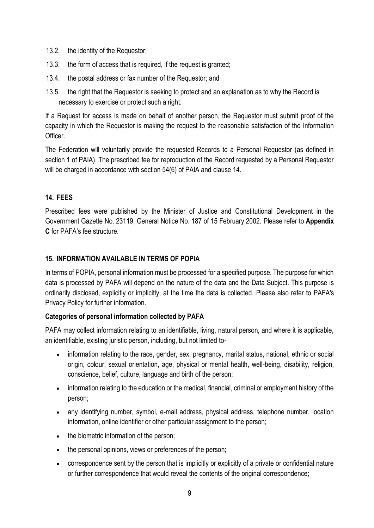- 13.2. the identity of the Requestor;
- 13.3. the form of access that is required, if the request is granted;
- 13.4. the postal address or fax number of the Requestor; and
- 13.5. the right that the Requestor is seeking to protect and an explanation as to why the Record is necessary to exercise or protect such a right.

If a Request for access is made on behalf of another person, the Requestor must submit proof of the capacity in which the Requestor is making the request to the reasonable satisfaction of the Information Officer.

The Federation will voluntarily provide the requested Records to a Personal Requestor (as defined in section 1 of PAIA). The prescribed fee for reproduction of the Record requested by a Personal Requestor will be charged in accordance with section 54(6) of PAIA and clause 14.

# **14. FEES**

Prescribed fees were published by the Minister of Justice and Constitutional Development in the Government Gazette No. 23119, General Notice No. 187 of 15 February 2002. Please refer to **Appendix C** for PAFA's fee structure.

# **15. INFORMATION AVAILABLE IN TERMS OF POPIA**

In terms of POPIA, personal information must be processed for a specified purpose. The purpose for which data is processed by PAFA will depend on the nature of the data and the Data Subject. This purpose is ordinarily disclosed, explicitly or implicitly, at the time the data is collected. Please also refer to PAFA's Privacy Policy for further information.

# **Categories of personal information collected by PAFA**

PAFA may collect information relating to an identifiable, living, natural person, and where it is applicable, an identifiable, existing juristic person, including, but not limited to-

- information relating to the race, gender, sex, pregnancy, marital status, national, ethnic or social origin, colour, sexual orientation, age, physical or mental health, well-being, disability, religion, conscience, belief, culture, language and birth of the person;
- information relating to the education or the medical, financial, criminal or employment history of the person;
- any identifying number, symbol, e-mail address, physical address, telephone number, location information, online identifier or other particular assignment to the person;
- the biometric information of the person:
- the personal opinions, views or preferences of the person;
- correspondence sent by the person that is implicitly or explicitly of a private or confidential nature or further correspondence that would reveal the contents of the original correspondence;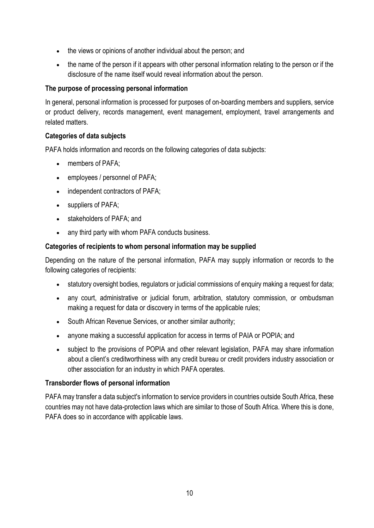- the views or opinions of another individual about the person; and
- the name of the person if it appears with other personal information relating to the person or if the disclosure of the name itself would reveal information about the person.

### **The purpose of processing personal information**

In general, personal information is processed for purposes of on-boarding members and suppliers, service or product delivery, records management, event management, employment, travel arrangements and related matters.

### **Categories of data subjects**

PAFA holds information and records on the following categories of data subjects:

- members of PAFA:
- employees / personnel of PAFA;
- independent contractors of PAFA;
- suppliers of PAFA;
- stakeholders of PAFA; and
- any third party with whom PAFA conducts business.

#### **Categories of recipients to whom personal information may be supplied**

Depending on the nature of the personal information, PAFA may supply information or records to the following categories of recipients:

- statutory oversight bodies, regulators or judicial commissions of enquiry making a request for data;
- any court, administrative or judicial forum, arbitration, statutory commission, or ombudsman making a request for data or discovery in terms of the applicable rules;
- South African Revenue Services, or another similar authority;
- anyone making a successful application for access in terms of PAIA or POPIA; and
- subject to the provisions of POPIA and other relevant legislation, PAFA may share information about a client's creditworthiness with any credit bureau or credit providers industry association or other association for an industry in which PAFA operates.

#### **Transborder flows of personal information**

PAFA may transfer a data subject's information to service providers in countries outside South Africa, these countries may not have data-protection laws which are similar to those of South Africa. Where this is done, PAFA does so in accordance with applicable laws.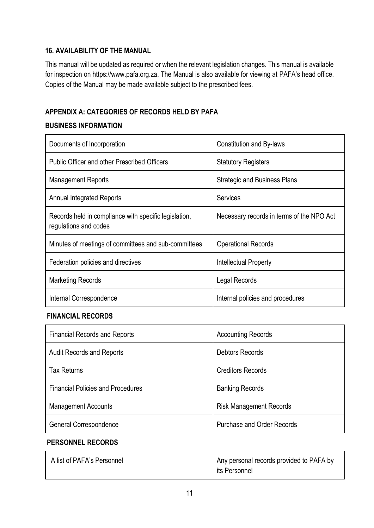# **16. AVAILABILITY OF THE MANUAL**

This manual will be updated as required or when the relevant legislation changes. This manual is available for inspection on https://www.pafa.org.za. The Manual is also available for viewing at PAFA's head office. Copies of the Manual may be made available subject to the prescribed fees.

# **APPENDIX A: CATEGORIES OF RECORDS HELD BY PAFA**

# **BUSINESS INFORMATION**

| Documents of Incorporation                                                     | Constitution and By-laws                  |
|--------------------------------------------------------------------------------|-------------------------------------------|
| <b>Public Officer and other Prescribed Officers</b>                            | <b>Statutory Registers</b>                |
| <b>Management Reports</b>                                                      | <b>Strategic and Business Plans</b>       |
| <b>Annual Integrated Reports</b>                                               | Services                                  |
| Records held in compliance with specific legislation,<br>regulations and codes | Necessary records in terms of the NPO Act |
| Minutes of meetings of committees and sub-committees                           | <b>Operational Records</b>                |
| Federation policies and directives                                             | Intellectual Property                     |
| Marketing Records                                                              | Legal Records                             |
| Internal Correspondence                                                        | Internal policies and procedures          |

### **FINANCIAL RECORDS**

| <b>Financial Records and Reports</b>     | <b>Accounting Records</b>         |
|------------------------------------------|-----------------------------------|
| <b>Audit Records and Reports</b>         | <b>Debtors Records</b>            |
| <b>Tax Returns</b>                       | <b>Creditors Records</b>          |
| <b>Financial Policies and Procedures</b> | <b>Banking Records</b>            |
| <b>Management Accounts</b>               | <b>Risk Management Records</b>    |
| General Correspondence                   | <b>Purchase and Order Records</b> |

### **PERSONNEL RECORDS**

| A list of PAFA's Personnel | Any personal records provided to PAFA by |
|----------------------------|------------------------------------------|
|                            | its Personnel                            |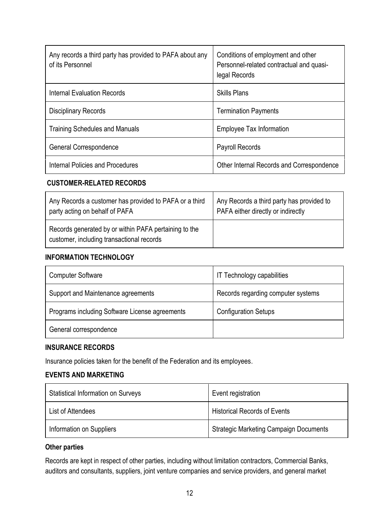| Any records a third party has provided to PAFA about any<br>of its Personnel | Conditions of employment and other<br>Personnel-related contractual and quasi-<br>legal Records |
|------------------------------------------------------------------------------|-------------------------------------------------------------------------------------------------|
| Internal Evaluation Records                                                  | <b>Skills Plans</b>                                                                             |
| <b>Disciplinary Records</b>                                                  | <b>Termination Payments</b>                                                                     |
| <b>Training Schedules and Manuals</b>                                        | Employee Tax Information                                                                        |
| General Correspondence                                                       | <b>Payroll Records</b>                                                                          |
| Internal Policies and Procedures                                             | Other Internal Records and Correspondence                                                       |

### **CUSTOMER-RELATED RECORDS**

| Any Records a customer has provided to PAFA or a third                                             | Any Records a third party has provided to |
|----------------------------------------------------------------------------------------------------|-------------------------------------------|
| party acting on behalf of PAFA                                                                     | PAFA either directly or indirectly        |
| Records generated by or within PAFA pertaining to the<br>customer, including transactional records |                                           |

### **INFORMATION TECHNOLOGY**

| <b>Computer Software</b>                       | IT Technology capabilities         |
|------------------------------------------------|------------------------------------|
| Support and Maintenance agreements             | Records regarding computer systems |
| Programs including Software License agreements | <b>Configuration Setups</b>        |
| General correspondence                         |                                    |

### **INSURANCE RECORDS**

Insurance policies taken for the benefit of the Federation and its employees.

### **EVENTS AND MARKETING**

| <b>Statistical Information on Surveys</b> | Event registration                            |  |
|-------------------------------------------|-----------------------------------------------|--|
| List of Attendees                         | <b>Historical Records of Events</b>           |  |
| Information on Suppliers                  | <b>Strategic Marketing Campaign Documents</b> |  |

### **Other parties**

Records are kept in respect of other parties, including without limitation contractors, Commercial Banks, auditors and consultants, suppliers, joint venture companies and service providers, and general market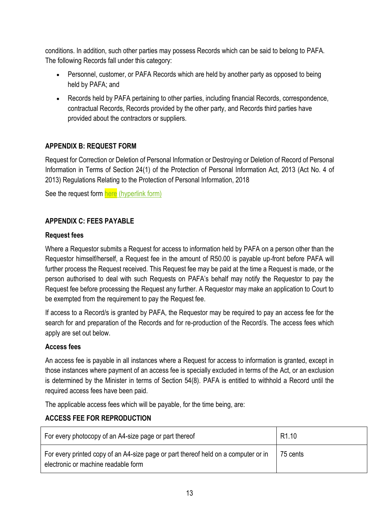conditions. In addition, such other parties may possess Records which can be said to belong to PAFA. The following Records fall under this category:

- Personnel, customer, or PAFA Records which are held by another party as opposed to being held by PAFA; and
- Records held by PAFA pertaining to other parties, including financial Records, correspondence, contractual Records, Records provided by the other party, and Records third parties have provided about the contractors or suppliers.

# **APPENDIX B: REQUEST FORM**

Request for Correction or Deletion of Personal Information or Destroying or Deletion of Record of Personal Information in Terms of Section 24(1) of the Protection of Personal Information Act, 2013 (Act No. 4 of 2013) Regulations Relating to the Protection of Personal Information, 2018

See the request form here (hyperlink form)

# **APPENDIX C: FEES PAYABLE**

### **Request fees**

Where a Requestor submits a Request for access to information held by PAFA on a person other than the Requestor himself/herself, a Request fee in the amount of R50.00 is payable up-front before PAFA will further process the Request received. This Request fee may be paid at the time a Request is made, or the person authorised to deal with such Requests on PAFA's behalf may notify the Requestor to pay the Request fee before processing the Request any further. A Requestor may make an application to Court to be exempted from the requirement to pay the Request fee.

If access to a Record/s is granted by PAFA, the Requestor may be required to pay an access fee for the search for and preparation of the Records and for re-production of the Record/s. The access fees which apply are set out below.

### **Access fees**

An access fee is payable in all instances where a Request for access to information is granted, except in those instances where payment of an access fee is specially excluded in terms of the Act, or an exclusion is determined by the Minister in terms of Section 54(8). PAFA is entitled to withhold a Record until the required access fees have been paid.

The applicable access fees which will be payable, for the time being, are:

# **ACCESS FEE FOR REPRODUCTION**

| For every photocopy of an A4-size page or part thereof                                                                    | R <sub>1.10</sub> |
|---------------------------------------------------------------------------------------------------------------------------|-------------------|
| For every printed copy of an A4-size page or part thereof held on a computer or in<br>electronic or machine readable form | 75 cents          |